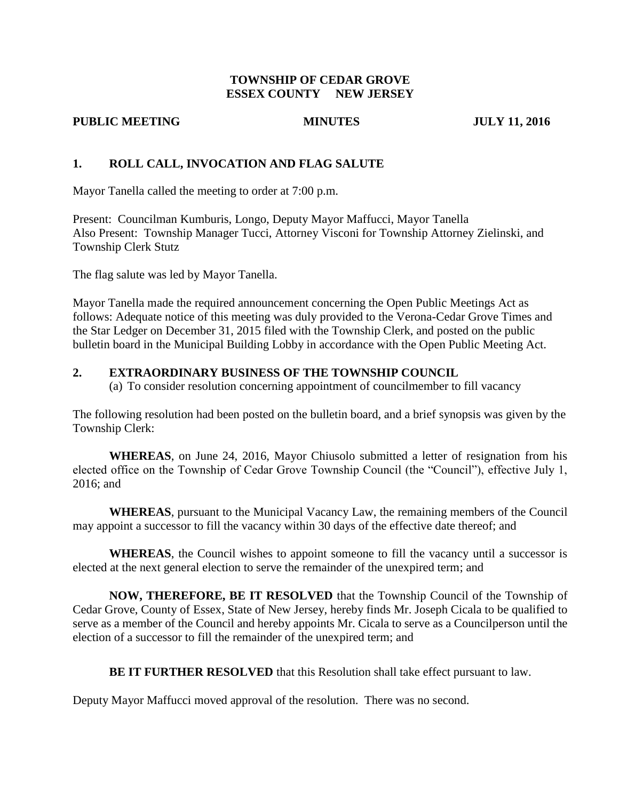## **TOWNSHIP OF CEDAR GROVE ESSEX COUNTY NEW JERSEY**

#### **PUBLIC MEETING MINUTES JULY 11, 2016**

## **1. ROLL CALL, INVOCATION AND FLAG SALUTE**

Mayor Tanella called the meeting to order at 7:00 p.m.

Present: Councilman Kumburis, Longo, Deputy Mayor Maffucci, Mayor Tanella Also Present: Township Manager Tucci, Attorney Visconi for Township Attorney Zielinski, and Township Clerk Stutz

The flag salute was led by Mayor Tanella.

Mayor Tanella made the required announcement concerning the Open Public Meetings Act as follows: Adequate notice of this meeting was duly provided to the Verona-Cedar Grove Times and the Star Ledger on December 31, 2015 filed with the Township Clerk, and posted on the public bulletin board in the Municipal Building Lobby in accordance with the Open Public Meeting Act.

### **2. EXTRAORDINARY BUSINESS OF THE TOWNSHIP COUNCIL**

(a) To consider resolution concerning appointment of councilmember to fill vacancy

The following resolution had been posted on the bulletin board, and a brief synopsis was given by the Township Clerk:

**WHEREAS**, on June 24, 2016, Mayor Chiusolo submitted a letter of resignation from his elected office on the Township of Cedar Grove Township Council (the "Council"), effective July 1, 2016; and

**WHEREAS**, pursuant to the Municipal Vacancy Law, the remaining members of the Council may appoint a successor to fill the vacancy within 30 days of the effective date thereof; and

**WHEREAS**, the Council wishes to appoint someone to fill the vacancy until a successor is elected at the next general election to serve the remainder of the unexpired term; and

**NOW, THEREFORE, BE IT RESOLVED** that the Township Council of the Township of Cedar Grove, County of Essex, State of New Jersey, hereby finds Mr. Joseph Cicala to be qualified to serve as a member of the Council and hereby appoints Mr. Cicala to serve as a Councilperson until the election of a successor to fill the remainder of the unexpired term; and

**BE IT FURTHER RESOLVED** that this Resolution shall take effect pursuant to law.

Deputy Mayor Maffucci moved approval of the resolution. There was no second.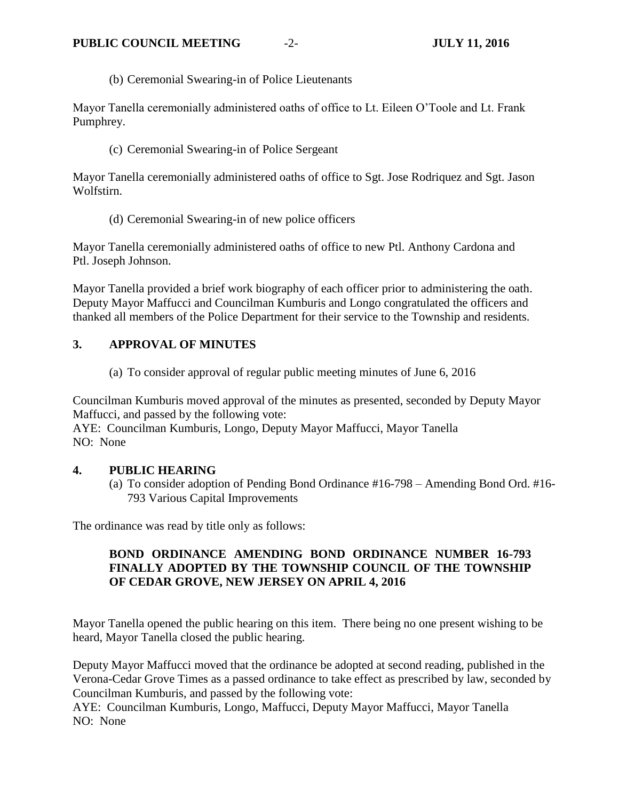(b) Ceremonial Swearing-in of Police Lieutenants

Mayor Tanella ceremonially administered oaths of office to Lt. Eileen O'Toole and Lt. Frank Pumphrey.

(c) Ceremonial Swearing-in of Police Sergeant

Mayor Tanella ceremonially administered oaths of office to Sgt. Jose Rodriquez and Sgt. Jason Wolfstirn.

(d) Ceremonial Swearing-in of new police officers

Mayor Tanella ceremonially administered oaths of office to new Ptl. Anthony Cardona and Ptl. Joseph Johnson.

Mayor Tanella provided a brief work biography of each officer prior to administering the oath. Deputy Mayor Maffucci and Councilman Kumburis and Longo congratulated the officers and thanked all members of the Police Department for their service to the Township and residents.

# **3. APPROVAL OF MINUTES**

(a) To consider approval of regular public meeting minutes of June 6, 2016

Councilman Kumburis moved approval of the minutes as presented, seconded by Deputy Mayor Maffucci, and passed by the following vote:

AYE: Councilman Kumburis, Longo, Deputy Mayor Maffucci, Mayor Tanella NO: None

### **4. PUBLIC HEARING**

(a) To consider adoption of Pending Bond Ordinance #16-798 – Amending Bond Ord. #16- 793 Various Capital Improvements

The ordinance was read by title only as follows:

# **BOND ORDINANCE AMENDING BOND ORDINANCE NUMBER 16-793 FINALLY ADOPTED BY THE TOWNSHIP COUNCIL OF THE TOWNSHIP OF CEDAR GROVE, NEW JERSEY ON APRIL 4, 2016**

Mayor Tanella opened the public hearing on this item. There being no one present wishing to be heard, Mayor Tanella closed the public hearing.

Deputy Mayor Maffucci moved that the ordinance be adopted at second reading, published in the Verona-Cedar Grove Times as a passed ordinance to take effect as prescribed by law, seconded by Councilman Kumburis, and passed by the following vote:

AYE: Councilman Kumburis, Longo, Maffucci, Deputy Mayor Maffucci, Mayor Tanella NO: None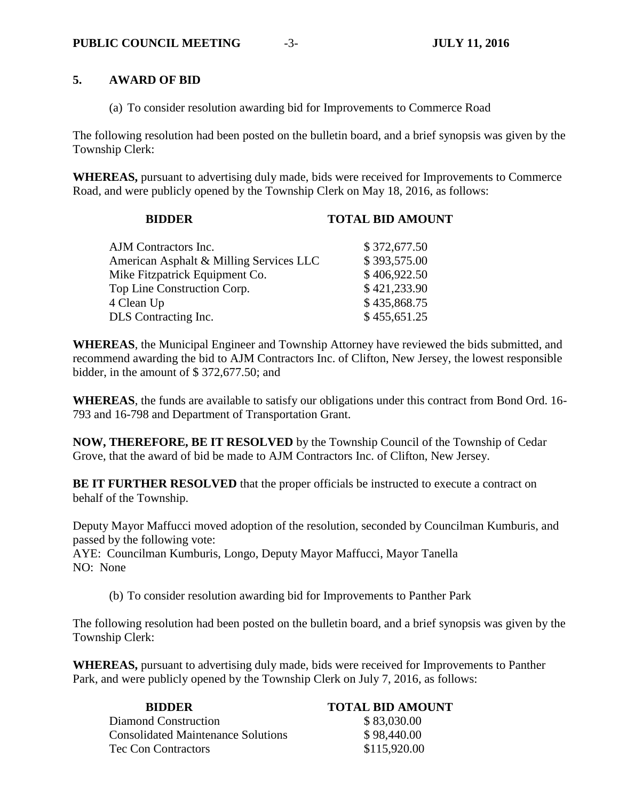## **5. AWARD OF BID**

(a) To consider resolution awarding bid for Improvements to Commerce Road

The following resolution had been posted on the bulletin board, and a brief synopsis was given by the Township Clerk:

**WHEREAS,** pursuant to advertising duly made, bids were received for Improvements to Commerce Road, and were publicly opened by the Township Clerk on May 18, 2016, as follows:

| <b>BIDDER</b>                           | <b>TOTAL BID AMOUNT</b> |
|-----------------------------------------|-------------------------|
| AJM Contractors Inc.                    | \$372,677.50            |
| American Asphalt & Milling Services LLC | \$393,575.00            |
| Mike Fitzpatrick Equipment Co.          | \$406,922.50            |
| Top Line Construction Corp.             | \$421,233.90            |
| 4 Clean Up                              | \$435,868.75            |
| DLS Contracting Inc.                    | \$455,651.25            |

**WHEREAS**, the Municipal Engineer and Township Attorney have reviewed the bids submitted, and recommend awarding the bid to AJM Contractors Inc. of Clifton, New Jersey, the lowest responsible bidder, in the amount of \$ 372,677.50; and

**WHEREAS**, the funds are available to satisfy our obligations under this contract from Bond Ord. 16- 793 and 16-798 and Department of Transportation Grant.

**NOW, THEREFORE, BE IT RESOLVED** by the Township Council of the Township of Cedar Grove, that the award of bid be made to AJM Contractors Inc. of Clifton, New Jersey.

**BE IT FURTHER RESOLVED** that the proper officials be instructed to execute a contract on behalf of the Township.

Deputy Mayor Maffucci moved adoption of the resolution, seconded by Councilman Kumburis, and passed by the following vote:

AYE: Councilman Kumburis, Longo, Deputy Mayor Maffucci, Mayor Tanella NO: None

(b) To consider resolution awarding bid for Improvements to Panther Park

The following resolution had been posted on the bulletin board, and a brief synopsis was given by the Township Clerk:

**WHEREAS,** pursuant to advertising duly made, bids were received for Improvements to Panther Park, and were publicly opened by the Township Clerk on July 7, 2016, as follows:

| <b>BIDDER</b>                             | <b>TOTAL BID AMOUNT</b> |
|-------------------------------------------|-------------------------|
| Diamond Construction                      | \$83,030.00             |
| <b>Consolidated Maintenance Solutions</b> | \$98,440.00             |
| Tec Con Contractors                       | \$115,920.00            |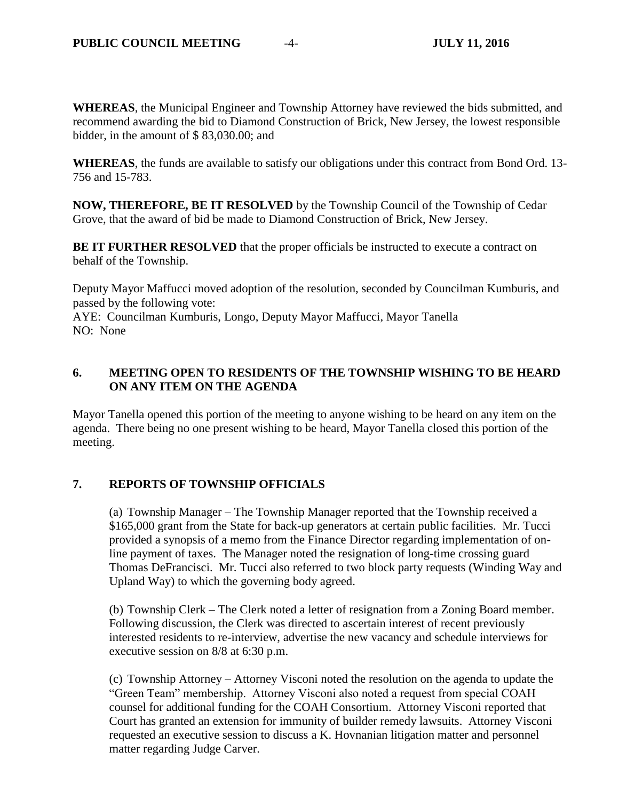**WHEREAS**, the Municipal Engineer and Township Attorney have reviewed the bids submitted, and recommend awarding the bid to Diamond Construction of Brick, New Jersey, the lowest responsible bidder, in the amount of \$ 83,030.00; and

**WHEREAS**, the funds are available to satisfy our obligations under this contract from Bond Ord. 13- 756 and 15-783.

**NOW, THEREFORE, BE IT RESOLVED** by the Township Council of the Township of Cedar Grove, that the award of bid be made to Diamond Construction of Brick, New Jersey.

**BE IT FURTHER RESOLVED** that the proper officials be instructed to execute a contract on behalf of the Township.

Deputy Mayor Maffucci moved adoption of the resolution, seconded by Councilman Kumburis, and passed by the following vote:

AYE: Councilman Kumburis, Longo, Deputy Mayor Maffucci, Mayor Tanella NO: None

# **6. MEETING OPEN TO RESIDENTS OF THE TOWNSHIP WISHING TO BE HEARD ON ANY ITEM ON THE AGENDA**

Mayor Tanella opened this portion of the meeting to anyone wishing to be heard on any item on the agenda. There being no one present wishing to be heard, Mayor Tanella closed this portion of the meeting.

# **7. REPORTS OF TOWNSHIP OFFICIALS**

(a) Township Manager – The Township Manager reported that the Township received a \$165,000 grant from the State for back-up generators at certain public facilities. Mr. Tucci provided a synopsis of a memo from the Finance Director regarding implementation of online payment of taxes. The Manager noted the resignation of long-time crossing guard Thomas DeFrancisci. Mr. Tucci also referred to two block party requests (Winding Way and Upland Way) to which the governing body agreed.

(b) Township Clerk – The Clerk noted a letter of resignation from a Zoning Board member. Following discussion, the Clerk was directed to ascertain interest of recent previously interested residents to re-interview, advertise the new vacancy and schedule interviews for executive session on 8/8 at 6:30 p.m.

(c) Township Attorney – Attorney Visconi noted the resolution on the agenda to update the "Green Team" membership. Attorney Visconi also noted a request from special COAH counsel for additional funding for the COAH Consortium. Attorney Visconi reported that Court has granted an extension for immunity of builder remedy lawsuits. Attorney Visconi requested an executive session to discuss a K. Hovnanian litigation matter and personnel matter regarding Judge Carver.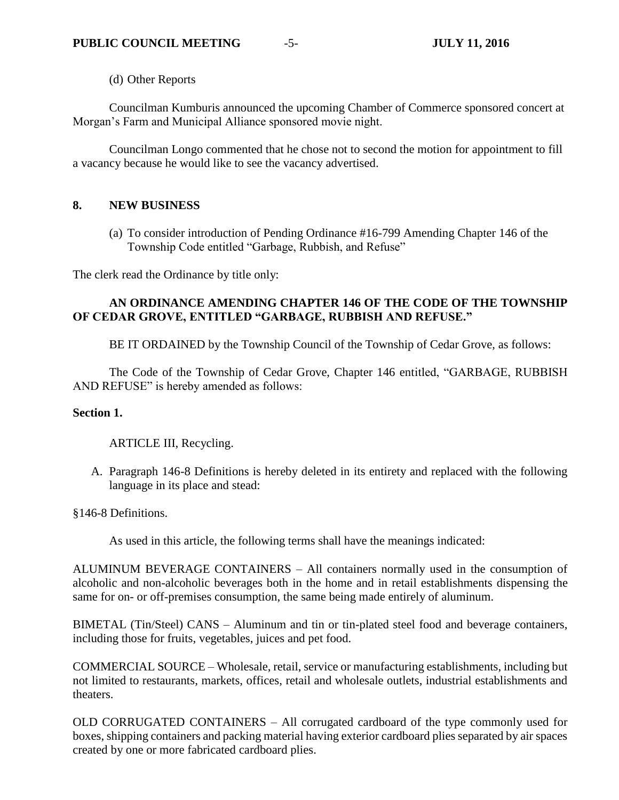(d) Other Reports

Councilman Kumburis announced the upcoming Chamber of Commerce sponsored concert at Morgan's Farm and Municipal Alliance sponsored movie night.

Councilman Longo commented that he chose not to second the motion for appointment to fill a vacancy because he would like to see the vacancy advertised.

## **8. NEW BUSINESS**

(a) To consider introduction of Pending Ordinance #16-799 Amending Chapter 146 of the Township Code entitled "Garbage, Rubbish, and Refuse"

The clerk read the Ordinance by title only:

# **AN ORDINANCE AMENDING CHAPTER 146 OF THE CODE OF THE TOWNSHIP OF CEDAR GROVE, ENTITLED "GARBAGE, RUBBISH AND REFUSE."**

BE IT ORDAINED by the Township Council of the Township of Cedar Grove, as follows:

The Code of the Township of Cedar Grove, Chapter 146 entitled, "GARBAGE, RUBBISH AND REFUSE" is hereby amended as follows:

## **Section 1.**

ARTICLE III, Recycling.

A. Paragraph 146-8 Definitions is hereby deleted in its entirety and replaced with the following language in its place and stead:

§146-8 Definitions.

As used in this article, the following terms shall have the meanings indicated:

ALUMINUM BEVERAGE CONTAINERS – All containers normally used in the consumption of alcoholic and non-alcoholic beverages both in the home and in retail establishments dispensing the same for on- or off-premises consumption, the same being made entirely of aluminum.

BIMETAL (Tin/Steel) CANS – Aluminum and tin or tin-plated steel food and beverage containers, including those for fruits, vegetables, juices and pet food.

COMMERCIAL SOURCE – Wholesale, retail, service or manufacturing establishments, including but not limited to restaurants, markets, offices, retail and wholesale outlets, industrial establishments and theaters.

OLD CORRUGATED CONTAINERS – All corrugated cardboard of the type commonly used for boxes, shipping containers and packing material having exterior cardboard plies separated by air spaces created by one or more fabricated cardboard plies.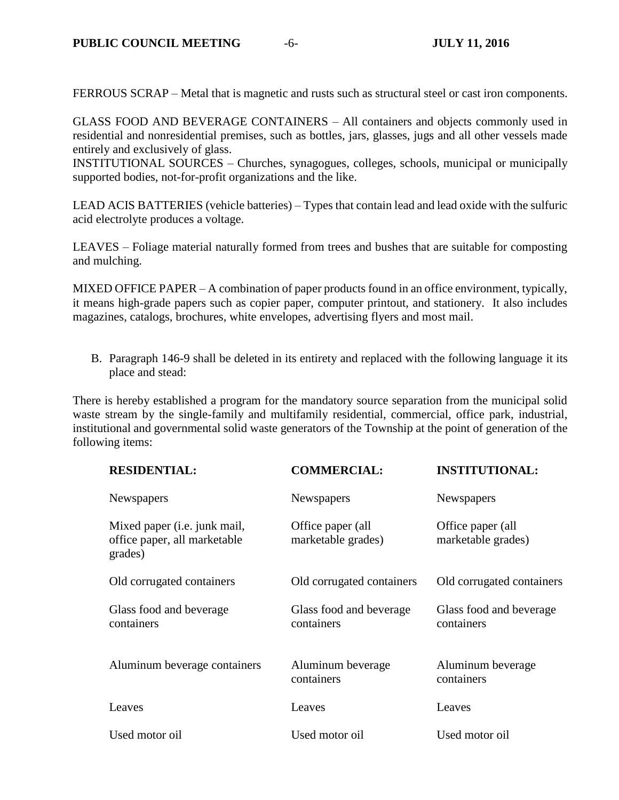FERROUS SCRAP – Metal that is magnetic and rusts such as structural steel or cast iron components.

GLASS FOOD AND BEVERAGE CONTAINERS – All containers and objects commonly used in residential and nonresidential premises, such as bottles, jars, glasses, jugs and all other vessels made entirely and exclusively of glass.

INSTITUTIONAL SOURCES – Churches, synagogues, colleges, schools, municipal or municipally supported bodies, not-for-profit organizations and the like.

LEAD ACIS BATTERIES (vehicle batteries) – Types that contain lead and lead oxide with the sulfuric acid electrolyte produces a voltage.

LEAVES – Foliage material naturally formed from trees and bushes that are suitable for composting and mulching.

MIXED OFFICE PAPER – A combination of paper products found in an office environment, typically, it means high-grade papers such as copier paper, computer printout, and stationery. It also includes magazines, catalogs, brochures, white envelopes, advertising flyers and most mail.

B. Paragraph 146-9 shall be deleted in its entirety and replaced with the following language it its place and stead:

There is hereby established a program for the mandatory source separation from the municipal solid waste stream by the single-family and multifamily residential, commercial, office park, industrial, institutional and governmental solid waste generators of the Township at the point of generation of the following items:

| <b>RESIDENTIAL:</b>                                                     | <b>COMMERCIAL:</b>                      | <b>INSTITUTIONAL:</b>                   |
|-------------------------------------------------------------------------|-----------------------------------------|-----------------------------------------|
| Newspapers                                                              | Newspapers                              | Newspapers                              |
| Mixed paper (i.e. junk mail,<br>office paper, all marketable<br>grades) | Office paper (all<br>marketable grades) | Office paper (all<br>marketable grades) |
| Old corrugated containers                                               | Old corrugated containers               | Old corrugated containers               |
| Glass food and beverage<br>containers                                   | Glass food and beverage<br>containers   | Glass food and beverage<br>containers   |
| Aluminum beverage containers                                            | Aluminum beverage<br>containers         | Aluminum beverage<br>containers         |
| Leaves                                                                  | Leaves                                  | Leaves                                  |
| Used motor oil                                                          | Used motor oil                          | Used motor oil                          |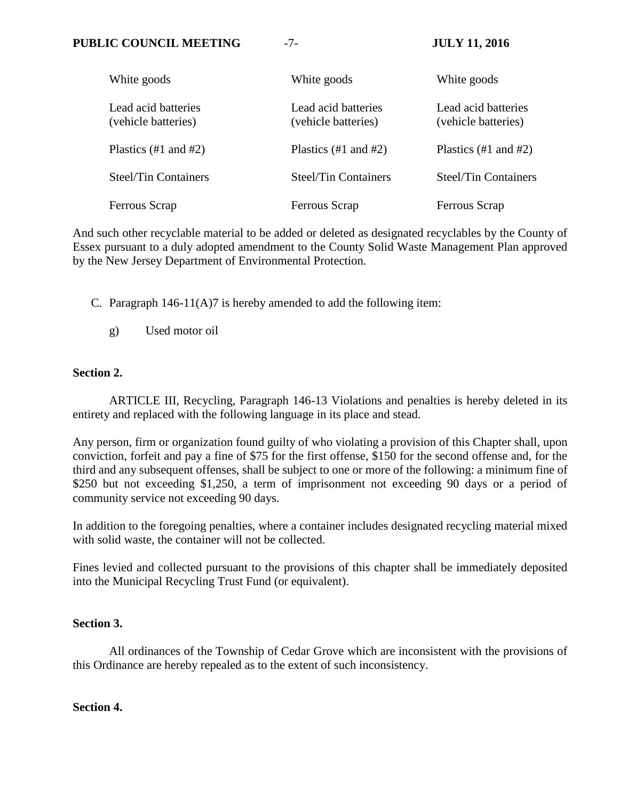| White goods                                | White goods                                | White goods                                |
|--------------------------------------------|--------------------------------------------|--------------------------------------------|
| Lead acid batteries<br>(vehicle batteries) | Lead acid batteries<br>(vehicle batteries) | Lead acid batteries<br>(vehicle batteries) |
| Plastics $(\#1 \text{ and } \#2)$          | Plastics $(\#1 \text{ and } \#2)$          | Plastics $(\#1 \text{ and } \#2)$          |
| <b>Steel/Tin Containers</b>                | <b>Steel/Tin Containers</b>                | <b>Steel/Tin Containers</b>                |
| Ferrous Scrap                              | Ferrous Scrap                              | Ferrous Scrap                              |

And such other recyclable material to be added or deleted as designated recyclables by the County of Essex pursuant to a duly adopted amendment to the County Solid Waste Management Plan approved by the New Jersey Department of Environmental Protection.

C. Paragraph 146-11(A)7 is hereby amended to add the following item:

g) Used motor oil

### **Section 2.**

ARTICLE III, Recycling, Paragraph 146-13 Violations and penalties is hereby deleted in its entirety and replaced with the following language in its place and stead.

Any person, firm or organization found guilty of who violating a provision of this Chapter shall, upon conviction, forfeit and pay a fine of \$75 for the first offense, \$150 for the second offense and, for the third and any subsequent offenses, shall be subject to one or more of the following: a minimum fine of \$250 but not exceeding \$1,250, a term of imprisonment not exceeding 90 days or a period of community service not exceeding 90 days.

In addition to the foregoing penalties, where a container includes designated recycling material mixed with solid waste, the container will not be collected.

Fines levied and collected pursuant to the provisions of this chapter shall be immediately deposited into the Municipal Recycling Trust Fund (or equivalent).

### **Section 3.**

All ordinances of the Township of Cedar Grove which are inconsistent with the provisions of this Ordinance are hereby repealed as to the extent of such inconsistency.

## **Section 4.**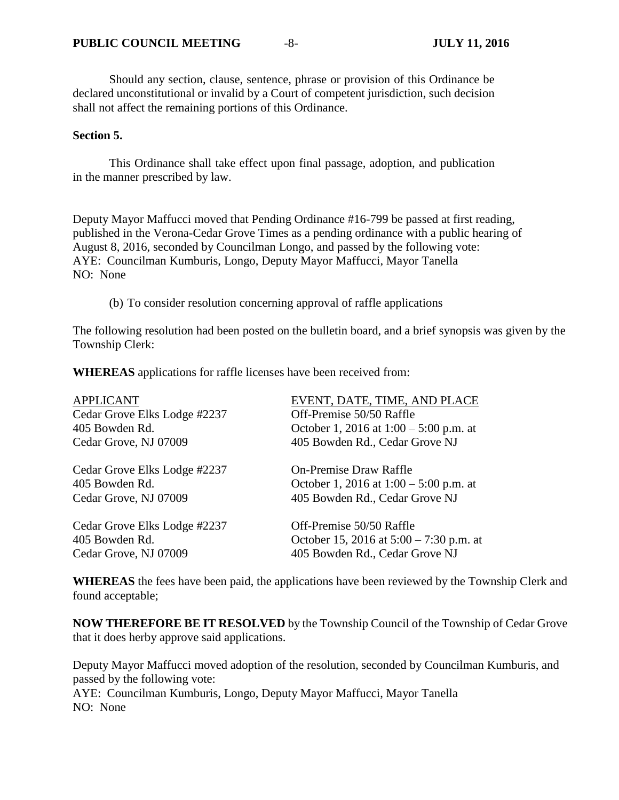Should any section, clause, sentence, phrase or provision of this Ordinance be declared unconstitutional or invalid by a Court of competent jurisdiction, such decision shall not affect the remaining portions of this Ordinance.

#### **Section 5.**

This Ordinance shall take effect upon final passage, adoption, and publication in the manner prescribed by law.

Deputy Mayor Maffucci moved that Pending Ordinance #16-799 be passed at first reading, published in the Verona-Cedar Grove Times as a pending ordinance with a public hearing of August 8, 2016, seconded by Councilman Longo, and passed by the following vote: AYE: Councilman Kumburis, Longo, Deputy Mayor Maffucci, Mayor Tanella NO: None

(b) To consider resolution concerning approval of raffle applications

The following resolution had been posted on the bulletin board, and a brief synopsis was given by the Township Clerk:

**WHEREAS** applications for raffle licenses have been received from:

| <b>APPLICANT</b>             | EVENT, DATE, TIME, AND PLACE              |
|------------------------------|-------------------------------------------|
| Cedar Grove Elks Lodge #2237 | Off-Premise 50/50 Raffle                  |
| 405 Bowden Rd.               | October 1, 2016 at $1:00 - 5:00$ p.m. at  |
| Cedar Grove, NJ 07009        | 405 Bowden Rd., Cedar Grove NJ            |
| Cedar Grove Elks Lodge #2237 | <b>On-Premise Draw Raffle</b>             |
| 405 Bowden Rd.               | October 1, 2016 at $1:00 - 5:00$ p.m. at  |
| Cedar Grove, NJ 07009        | 405 Bowden Rd., Cedar Grove NJ            |
| Cedar Grove Elks Lodge #2237 | Off-Premise 50/50 Raffle                  |
| 405 Bowden Rd.               | October 15, 2016 at $5:00 - 7:30$ p.m. at |
| Cedar Grove, NJ 07009        | 405 Bowden Rd., Cedar Grove NJ            |

**WHEREAS** the fees have been paid, the applications have been reviewed by the Township Clerk and found acceptable;

**NOW THEREFORE BE IT RESOLVED** by the Township Council of the Township of Cedar Grove that it does herby approve said applications.

Deputy Mayor Maffucci moved adoption of the resolution, seconded by Councilman Kumburis, and passed by the following vote: AYE: Councilman Kumburis, Longo, Deputy Mayor Maffucci, Mayor Tanella NO: None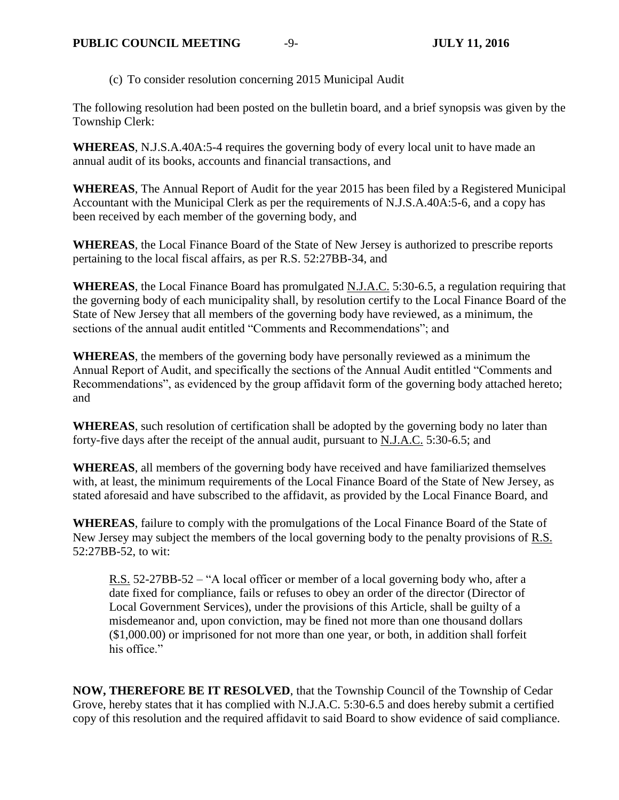(c) To consider resolution concerning 2015 Municipal Audit

The following resolution had been posted on the bulletin board, and a brief synopsis was given by the Township Clerk:

**WHEREAS**, N.J.S.A.40A:5-4 requires the governing body of every local unit to have made an annual audit of its books, accounts and financial transactions, and

**WHEREAS**, The Annual Report of Audit for the year 2015 has been filed by a Registered Municipal Accountant with the Municipal Clerk as per the requirements of N.J.S.A.40A:5-6, and a copy has been received by each member of the governing body, and

**WHEREAS**, the Local Finance Board of the State of New Jersey is authorized to prescribe reports pertaining to the local fiscal affairs, as per R.S. 52:27BB-34, and

**WHEREAS**, the Local Finance Board has promulgated N.J.A.C. 5:30-6.5, a regulation requiring that the governing body of each municipality shall, by resolution certify to the Local Finance Board of the State of New Jersey that all members of the governing body have reviewed, as a minimum, the sections of the annual audit entitled "Comments and Recommendations"; and

**WHEREAS**, the members of the governing body have personally reviewed as a minimum the Annual Report of Audit, and specifically the sections of the Annual Audit entitled "Comments and Recommendations", as evidenced by the group affidavit form of the governing body attached hereto; and

**WHEREAS**, such resolution of certification shall be adopted by the governing body no later than forty-five days after the receipt of the annual audit, pursuant to N.J.A.C. 5:30-6.5; and

**WHEREAS**, all members of the governing body have received and have familiarized themselves with, at least, the minimum requirements of the Local Finance Board of the State of New Jersey, as stated aforesaid and have subscribed to the affidavit, as provided by the Local Finance Board, and

**WHEREAS**, failure to comply with the promulgations of the Local Finance Board of the State of New Jersey may subject the members of the local governing body to the penalty provisions of R.S. 52:27BB-52, to wit:

R.S. 52-27BB-52 – "A local officer or member of a local governing body who, after a date fixed for compliance, fails or refuses to obey an order of the director (Director of Local Government Services), under the provisions of this Article, shall be guilty of a misdemeanor and, upon conviction, may be fined not more than one thousand dollars (\$1,000.00) or imprisoned for not more than one year, or both, in addition shall forfeit his office."

**NOW, THEREFORE BE IT RESOLVED**, that the Township Council of the Township of Cedar Grove, hereby states that it has complied with N.J.A.C. 5:30-6.5 and does hereby submit a certified copy of this resolution and the required affidavit to said Board to show evidence of said compliance.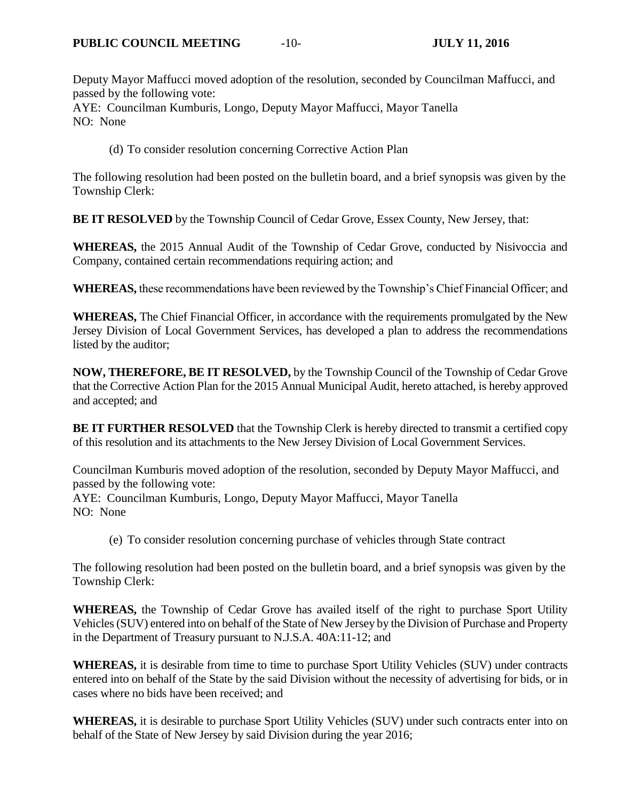Deputy Mayor Maffucci moved adoption of the resolution, seconded by Councilman Maffucci, and passed by the following vote:

AYE: Councilman Kumburis, Longo, Deputy Mayor Maffucci, Mayor Tanella NO: None

(d) To consider resolution concerning Corrective Action Plan

The following resolution had been posted on the bulletin board, and a brief synopsis was given by the Township Clerk:

**BE IT RESOLVED** by the Township Council of Cedar Grove, Essex County, New Jersey, that:

**WHEREAS,** the 2015 Annual Audit of the Township of Cedar Grove, conducted by Nisivoccia and Company, contained certain recommendations requiring action; and

**WHEREAS,** these recommendations have been reviewed by the Township's Chief Financial Officer; and

**WHEREAS,** The Chief Financial Officer, in accordance with the requirements promulgated by the New Jersey Division of Local Government Services, has developed a plan to address the recommendations listed by the auditor;

**NOW, THEREFORE, BE IT RESOLVED,** by the Township Council of the Township of Cedar Grove that the Corrective Action Plan for the 2015 Annual Municipal Audit, hereto attached, is hereby approved and accepted; and

**BE IT FURTHER RESOLVED** that the Township Clerk is hereby directed to transmit a certified copy of this resolution and its attachments to the New Jersey Division of Local Government Services.

Councilman Kumburis moved adoption of the resolution, seconded by Deputy Mayor Maffucci, and passed by the following vote: AYE: Councilman Kumburis, Longo, Deputy Mayor Maffucci, Mayor Tanella NO: None

(e) To consider resolution concerning purchase of vehicles through State contract

The following resolution had been posted on the bulletin board, and a brief synopsis was given by the Township Clerk:

**WHEREAS,** the Township of Cedar Grove has availed itself of the right to purchase Sport Utility Vehicles (SUV) entered into on behalf of the State of New Jersey by the Division of Purchase and Property in the Department of Treasury pursuant to N.J.S.A. 40A:11-12; and

**WHEREAS,** it is desirable from time to time to purchase Sport Utility Vehicles (SUV) under contracts entered into on behalf of the State by the said Division without the necessity of advertising for bids, or in cases where no bids have been received; and

**WHEREAS,** it is desirable to purchase Sport Utility Vehicles (SUV) under such contracts enter into on behalf of the State of New Jersey by said Division during the year 2016;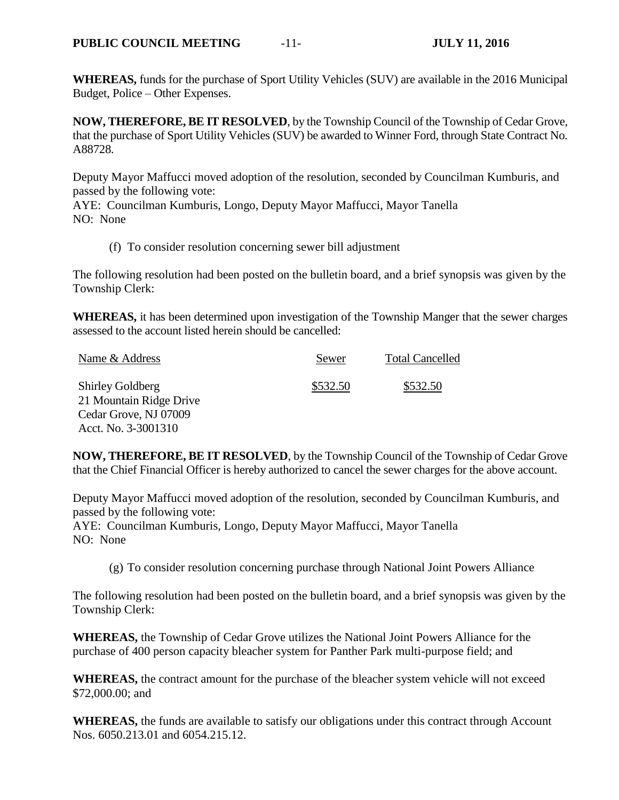**WHEREAS,** funds for the purchase of Sport Utility Vehicles (SUV) are available in the 2016 Municipal Budget, Police – Other Expenses.

**NOW, THEREFORE, BE IT RESOLVED**, by the Township Council of the Township of Cedar Grove, that the purchase of Sport Utility Vehicles (SUV) be awarded to Winner Ford, through State Contract No. A88728.

Deputy Mayor Maffucci moved adoption of the resolution, seconded by Councilman Kumburis, and passed by the following vote:

AYE: Councilman Kumburis, Longo, Deputy Mayor Maffucci, Mayor Tanella NO: None

(f) To consider resolution concerning sewer bill adjustment

The following resolution had been posted on the bulletin board, and a brief synopsis was given by the Township Clerk:

**WHEREAS,** it has been determined upon investigation of the Township Manger that the sewer charges assessed to the account listed herein should be cancelled:

| Name & Address          | Sewer    | <b>Total Cancelled</b> |
|-------------------------|----------|------------------------|
| <b>Shirley Goldberg</b> | \$532.50 | \$532.50               |
| 21 Mountain Ridge Drive |          |                        |
| Cedar Grove, NJ 07009   |          |                        |
| Acct. No. 3-3001310     |          |                        |

**NOW, THEREFORE, BE IT RESOLVED**, by the Township Council of the Township of Cedar Grove that the Chief Financial Officer is hereby authorized to cancel the sewer charges for the above account.

Deputy Mayor Maffucci moved adoption of the resolution, seconded by Councilman Kumburis, and passed by the following vote: AYE: Councilman Kumburis, Longo, Deputy Mayor Maffucci, Mayor Tanella

NO: None

(g) To consider resolution concerning purchase through National Joint Powers Alliance

The following resolution had been posted on the bulletin board, and a brief synopsis was given by the Township Clerk:

**WHEREAS,** the Township of Cedar Grove utilizes the National Joint Powers Alliance for the purchase of 400 person capacity bleacher system for Panther Park multi-purpose field; and

**WHEREAS,** the contract amount for the purchase of the bleacher system vehicle will not exceed \$72,000.00; and

**WHEREAS,** the funds are available to satisfy our obligations under this contract through Account Nos. 6050.213.01 and 6054.215.12.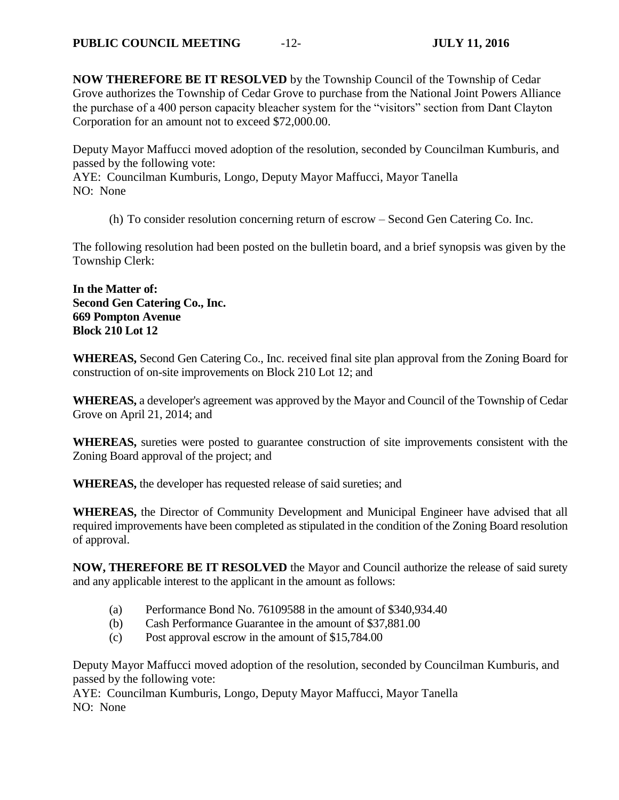**NOW THEREFORE BE IT RESOLVED** by the Township Council of the Township of Cedar Grove authorizes the Township of Cedar Grove to purchase from the National Joint Powers Alliance the purchase of a 400 person capacity bleacher system for the "visitors" section from Dant Clayton Corporation for an amount not to exceed \$72,000.00.

Deputy Mayor Maffucci moved adoption of the resolution, seconded by Councilman Kumburis, and passed by the following vote:

AYE: Councilman Kumburis, Longo, Deputy Mayor Maffucci, Mayor Tanella NO: None

(h) To consider resolution concerning return of escrow – Second Gen Catering Co. Inc.

The following resolution had been posted on the bulletin board, and a brief synopsis was given by the Township Clerk:

**In the Matter of: Second Gen Catering Co., Inc. 669 Pompton Avenue Block 210 Lot 12**

**WHEREAS,** Second Gen Catering Co., Inc. received final site plan approval from the Zoning Board for construction of on-site improvements on Block 210 Lot 12; and

**WHEREAS,** a developer's agreement was approved by the Mayor and Council of the Township of Cedar Grove on April 21, 2014; and

**WHEREAS,** sureties were posted to guarantee construction of site improvements consistent with the Zoning Board approval of the project; and

**WHEREAS,** the developer has requested release of said sureties; and

**WHEREAS,** the Director of Community Development and Municipal Engineer have advised that all required improvements have been completed as stipulated in the condition of the Zoning Board resolution of approval.

**NOW, THEREFORE BE IT RESOLVED** the Mayor and Council authorize the release of said surety and any applicable interest to the applicant in the amount as follows:

- (a) Performance Bond No. 76109588 in the amount of \$340,934.40
- (b) Cash Performance Guarantee in the amount of \$37,881.00
- (c) Post approval escrow in the amount of \$15,784.00

Deputy Mayor Maffucci moved adoption of the resolution, seconded by Councilman Kumburis, and passed by the following vote:

AYE: Councilman Kumburis, Longo, Deputy Mayor Maffucci, Mayor Tanella NO: None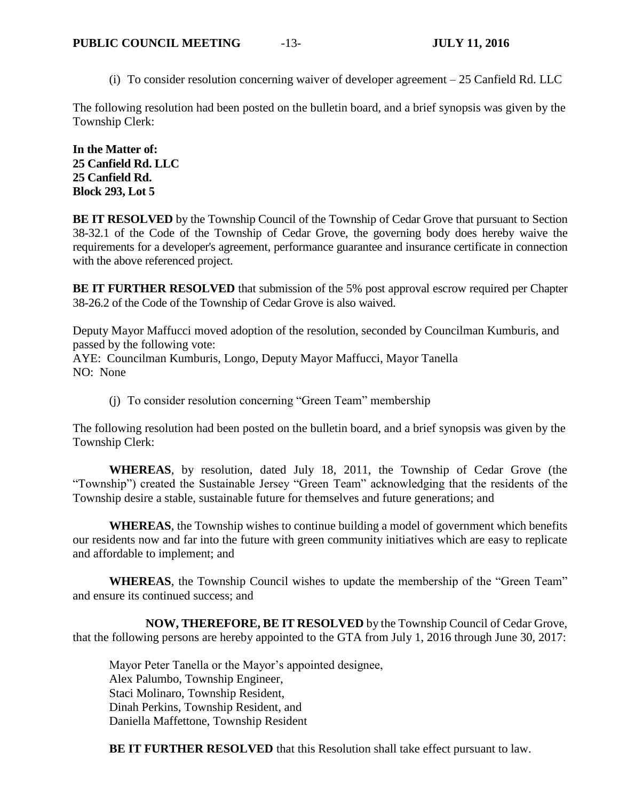(i) To consider resolution concerning waiver of developer agreement – 25 Canfield Rd. LLC

The following resolution had been posted on the bulletin board, and a brief synopsis was given by the Township Clerk:

**In the Matter of: 25 Canfield Rd. LLC 25 Canfield Rd. Block 293, Lot 5**

**BE IT RESOLVED** by the Township Council of the Township of Cedar Grove that pursuant to Section 38-32.1 of the Code of the Township of Cedar Grove, the governing body does hereby waive the requirements for a developer's agreement, performance guarantee and insurance certificate in connection with the above referenced project.

**BE IT FURTHER RESOLVED** that submission of the 5% post approval escrow required per Chapter 38-26.2 of the Code of the Township of Cedar Grove is also waived.

Deputy Mayor Maffucci moved adoption of the resolution, seconded by Councilman Kumburis, and passed by the following vote:

AYE: Councilman Kumburis, Longo, Deputy Mayor Maffucci, Mayor Tanella NO: None

(j) To consider resolution concerning "Green Team" membership

The following resolution had been posted on the bulletin board, and a brief synopsis was given by the Township Clerk:

**WHEREAS**, by resolution, dated July 18, 2011, the Township of Cedar Grove (the "Township") created the Sustainable Jersey "Green Team" acknowledging that the residents of the Township desire a stable, sustainable future for themselves and future generations; and

**WHEREAS**, the Township wishes to continue building a model of government which benefits our residents now and far into the future with green community initiatives which are easy to replicate and affordable to implement; and

**WHEREAS**, the Township Council wishes to update the membership of the "Green Team" and ensure its continued success; and

**NOW, THEREFORE, BE IT RESOLVED** by the Township Council of Cedar Grove, that the following persons are hereby appointed to the GTA from July 1, 2016 through June 30, 2017:

Mayor Peter Tanella or the Mayor's appointed designee, Alex Palumbo, Township Engineer, Staci Molinaro, Township Resident, Dinah Perkins, Township Resident, and Daniella Maffettone, Township Resident

**BE IT FURTHER RESOLVED** that this Resolution shall take effect pursuant to law.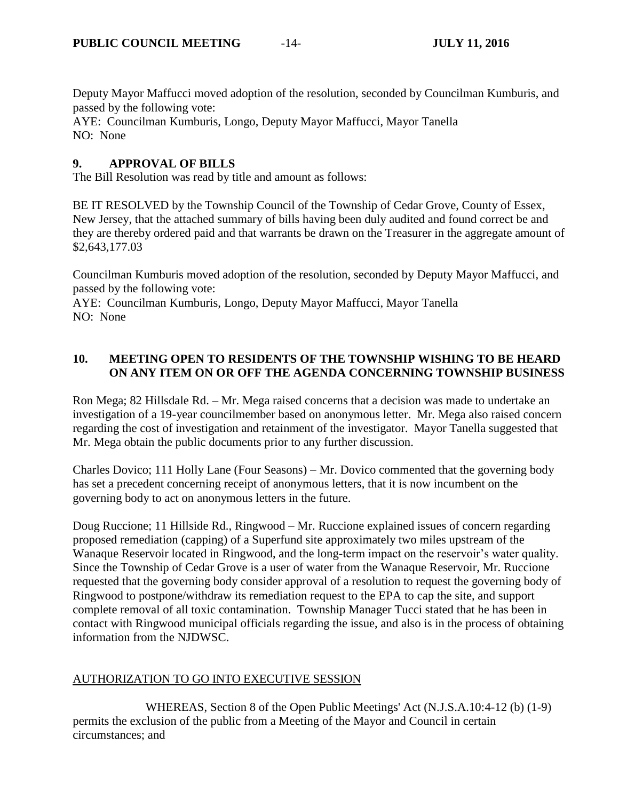Deputy Mayor Maffucci moved adoption of the resolution, seconded by Councilman Kumburis, and passed by the following vote:

AYE: Councilman Kumburis, Longo, Deputy Mayor Maffucci, Mayor Tanella NO: None

## **9. APPROVAL OF BILLS**

The Bill Resolution was read by title and amount as follows:

BE IT RESOLVED by the Township Council of the Township of Cedar Grove, County of Essex, New Jersey, that the attached summary of bills having been duly audited and found correct be and they are thereby ordered paid and that warrants be drawn on the Treasurer in the aggregate amount of \$2,643,177.03

Councilman Kumburis moved adoption of the resolution, seconded by Deputy Mayor Maffucci, and passed by the following vote:

AYE: Councilman Kumburis, Longo, Deputy Mayor Maffucci, Mayor Tanella NO: None

# **10. MEETING OPEN TO RESIDENTS OF THE TOWNSHIP WISHING TO BE HEARD ON ANY ITEM ON OR OFF THE AGENDA CONCERNING TOWNSHIP BUSINESS**

Ron Mega; 82 Hillsdale Rd. – Mr. Mega raised concerns that a decision was made to undertake an investigation of a 19-year councilmember based on anonymous letter. Mr. Mega also raised concern regarding the cost of investigation and retainment of the investigator. Mayor Tanella suggested that Mr. Mega obtain the public documents prior to any further discussion.

Charles Dovico; 111 Holly Lane (Four Seasons) – Mr. Dovico commented that the governing body has set a precedent concerning receipt of anonymous letters, that it is now incumbent on the governing body to act on anonymous letters in the future.

Doug Ruccione; 11 Hillside Rd., Ringwood – Mr. Ruccione explained issues of concern regarding proposed remediation (capping) of a Superfund site approximately two miles upstream of the Wanaque Reservoir located in Ringwood, and the long-term impact on the reservoir's water quality. Since the Township of Cedar Grove is a user of water from the Wanaque Reservoir, Mr. Ruccione requested that the governing body consider approval of a resolution to request the governing body of Ringwood to postpone/withdraw its remediation request to the EPA to cap the site, and support complete removal of all toxic contamination. Township Manager Tucci stated that he has been in contact with Ringwood municipal officials regarding the issue, and also is in the process of obtaining information from the NJDWSC.

# AUTHORIZATION TO GO INTO EXECUTIVE SESSION

WHEREAS, Section 8 of the Open Public Meetings' Act (N.J.S.A.10:4-12 (b) (1-9) permits the exclusion of the public from a Meeting of the Mayor and Council in certain circumstances; and